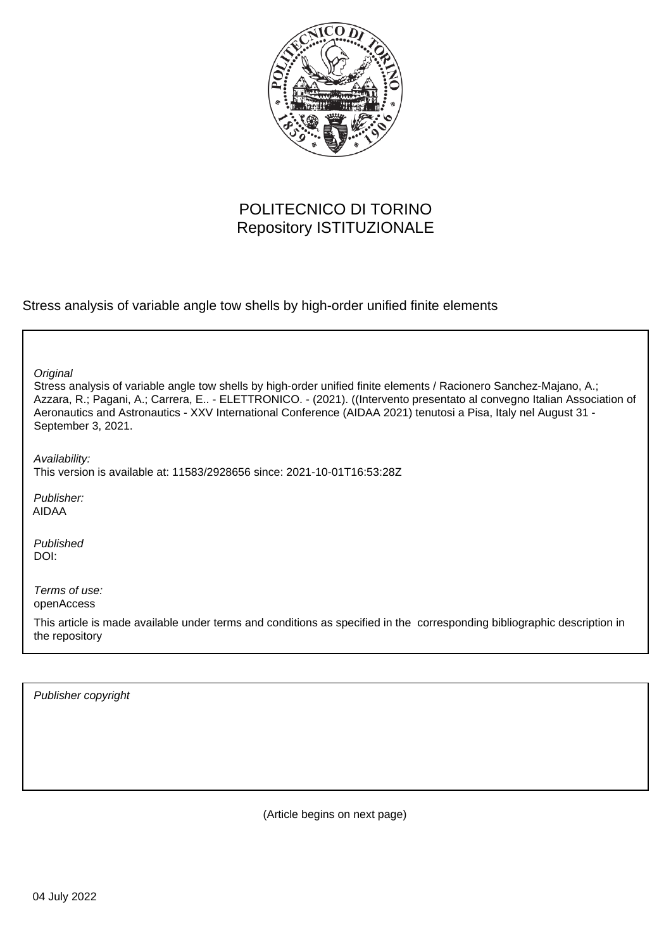

# POLITECNICO DI TORINO Repository ISTITUZIONALE

Stress analysis of variable angle tow shells by high-order unified finite elements

| Original<br>Stress analysis of variable angle tow shells by high-order unified finite elements / Racionero Sanchez-Majano, A.;<br>Azzara, R.; Pagani, A.; Carrera, E - ELETTRONICO. - (2021). ((Intervento presentato al convegno Italian Association of<br>Aeronautics and Astronautics - XXV International Conference (AIDAA 2021) tenutosi a Pisa, Italy nel August 31 -<br>September 3, 2021. |
|---------------------------------------------------------------------------------------------------------------------------------------------------------------------------------------------------------------------------------------------------------------------------------------------------------------------------------------------------------------------------------------------------|
| Availability:<br>This version is available at: 11583/2928656 since: 2021-10-01T16:53:28Z                                                                                                                                                                                                                                                                                                          |
| Publisher:<br>AIDAA                                                                                                                                                                                                                                                                                                                                                                               |
| Published<br>DOI:                                                                                                                                                                                                                                                                                                                                                                                 |
| Terms of use:<br>openAccess                                                                                                                                                                                                                                                                                                                                                                       |
| This article is made available under terms and conditions as specified in the corresponding bibliographic description in<br>the repository                                                                                                                                                                                                                                                        |

Publisher copyright

(Article begins on next page)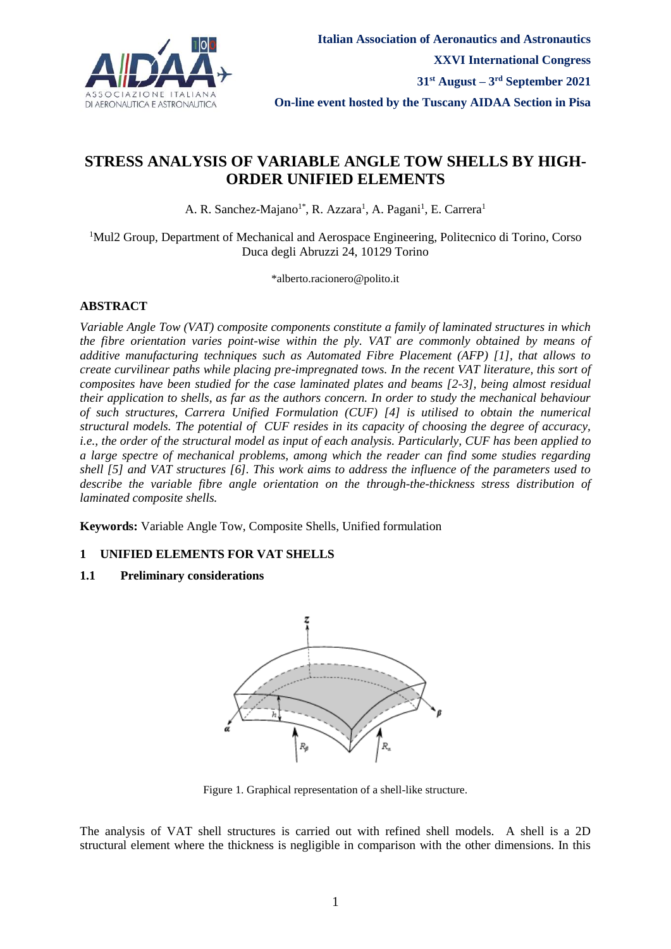

## **STRESS ANALYSIS OF VARIABLE ANGLE TOW SHELLS BY HIGH-ORDER UNIFIED ELEMENTS**

A. R. Sanchez-Majano<sup>1\*</sup>, R. Azzara<sup>1</sup>, A. Pagani<sup>1</sup>, E. Carrera<sup>1</sup>

<sup>1</sup>Mul2 Group, Department of Mechanical and Aerospace Engineering, Politecnico di Torino, Corso Duca degli Abruzzi 24, 10129 Torino

\*alberto.racionero@polito.it

## **ABSTRACT**

*Variable Angle Tow (VAT) composite components constitute a family of laminated structures in which the fibre orientation varies point-wise within the ply. VAT are commonly obtained by means of additive manufacturing techniques such as Automated Fibre Placement (AFP) [1], that allows to create curvilinear paths while placing pre-impregnated tows. In the recent VAT literature, this sort of composites have been studied for the case laminated plates and beams [2-3], being almost residual their application to shells, as far as the authors concern. In order to study the mechanical behaviour of such structures, Carrera Unified Formulation (CUF) [4] is utilised to obtain the numerical structural models. The potential of CUF resides in its capacity of choosing the degree of accuracy, i.e., the order of the structural model as input of each analysis. Particularly, CUF has been applied to a large spectre of mechanical problems, among which the reader can find some studies regarding shell [5] and VAT structures [6]. This work aims to address the influence of the parameters used to describe the variable fibre angle orientation on the through-the-thickness stress distribution of laminated composite shells.*

**Keywords:** Variable Angle Tow, Composite Shells, Unified formulation

## **1 UNIFIED ELEMENTS FOR VAT SHELLS**

## **1.1 Preliminary considerations**



Figure 1. Graphical representation of a shell-like structure.

<span id="page-1-0"></span>The analysis of VAT shell structures is carried out with refined shell models. A shell is a 2D structural element where the thickness is negligible in comparison with the other dimensions. In this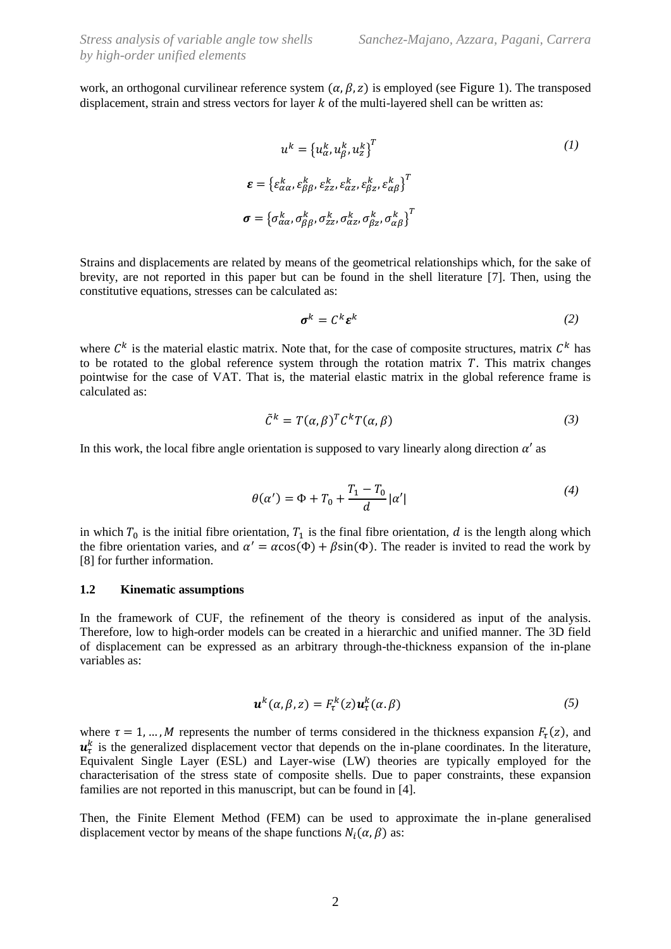work, an orthogonal curvilinear reference system  $(\alpha, \beta, z)$  is employed (see [Figure 1](#page-1-0)). The transposed displacement, strain and stress vectors for layer  $k$  of the multi-layered shell can be written as:

$$
u^{k} = \{u_{\alpha}^{k}, u_{\beta}^{k}, u_{z}^{k}\}T
$$
\n
$$
\varepsilon = \{\varepsilon_{\alpha\alpha}^{k}, \varepsilon_{\beta\beta}^{k}, \varepsilon_{zz}^{k}, \varepsilon_{\alpha z}^{k}, \varepsilon_{\beta z}^{k}, \varepsilon_{\alpha \beta}^{k}\}T
$$
\n
$$
\sigma = \{\sigma_{\alpha\alpha}^{k}, \sigma_{\beta\beta}^{k}, \sigma_{zz}^{k}, \sigma_{\alpha z}^{k}, \sigma_{\beta z}^{k}, \sigma_{\alpha \beta}^{k}\}T
$$
\n(1)

Strains and displacements are related by means of the geometrical relationships which, for the sake of brevity, are not reported in this paper but can be found in the shell literature [7]. Then, using the constitutive equations, stresses can be calculated as:

$$
\boldsymbol{\sigma}^k = \mathcal{C}^k \boldsymbol{\varepsilon}^k \tag{2}
$$

where  $C^k$  is the material elastic matrix. Note that, for the case of composite structures, matrix  $C^k$  has to be rotated to the global reference system through the rotation matrix  $T$ . This matrix changes pointwise for the case of VAT. That is, the material elastic matrix in the global reference frame is calculated as:

$$
\tilde{C}^k = T(\alpha, \beta)^T C^k T(\alpha, \beta) \tag{3}
$$

In this work, the local fibre angle orientation is supposed to vary linearly along direction  $\alpha'$  as

$$
\theta(\alpha') = \Phi + T_0 + \frac{T_1 - T_0}{d} |\alpha'| \tag{4}
$$

in which  $T_0$  is the initial fibre orientation,  $T_1$  is the final fibre orientation, d is the length along which the fibre orientation varies, and  $\alpha' = \alpha \cos(\Phi) + \beta \sin(\Phi)$ . The reader is invited to read the work by [8] for further information.

#### **1.2 Kinematic assumptions**

In the framework of CUF, the refinement of the theory is considered as input of the analysis. Therefore, low to high-order models can be created in a hierarchic and unified manner. The 3D field of displacement can be expressed as an arbitrary through-the-thickness expansion of the in-plane variables as:

$$
\boldsymbol{u}^{k}(\alpha,\beta,z)=F_{\tau}^{k}(z)\boldsymbol{u}_{\tau}^{k}(\alpha,\beta)
$$
\n(5)

where  $\tau = 1, ..., M$  represents the number of terms considered in the thickness expansion  $F_{\tau}(z)$ , and  $u_{\tau}^{k}$  is the generalized displacement vector that depends on the in-plane coordinates. In the literature, Equivalent Single Layer (ESL) and Layer-wise (LW) theories are typically employed for the characterisation of the stress state of composite shells. Due to paper constraints, these expansion families are not reported in this manuscript, but can be found in [4].

Then, the Finite Element Method (FEM) can be used to approximate the in-plane generalised displacement vector by means of the shape functions  $N_i(\alpha, \beta)$  as: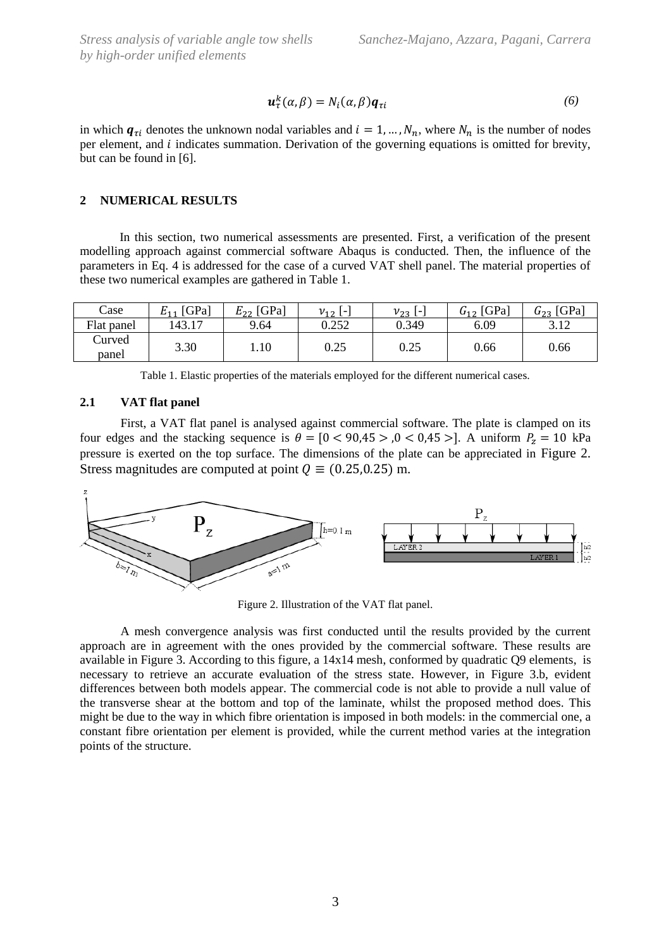$$
\boldsymbol{u}_{\tau}^{k}(\alpha,\beta)=N_{i}(\alpha,\beta)\boldsymbol{q}_{\tau i}
$$
\n(6)

in which  $q_{\tau i}$  denotes the unknown nodal variables and  $i = 1, ..., N_n$ , where  $N_n$  is the number of nodes per element, and *i* indicates summation. Derivation of the governing equations is omitted for brevity, but can be found in [6].

#### **2 NUMERICAL RESULTS**

In this section, two numerical assessments are presented. First, a verification of the present modelling approach against commercial software Abaqus is conducted. Then, the influence of the parameters in Eq. 4 is addressed for the case of a curved VAT shell panel. The material properties of these two numerical examples are gathered in [Table 1.](#page-3-0)

| Case            | $E_{11}$ [GPa] | $E_{22}$ [GPa] | $v_{12}$ $\lbrack - \rbrack$ | $v_{23}$ L. | $G_{12}$ [GPa] | $G_{23}$ [GPa] |
|-----------------|----------------|----------------|------------------------------|-------------|----------------|----------------|
| Flat panel      | 143.11         | 9.64           | 0.252                        | 0.349       | 6.09           | 3.12           |
| Curved<br>panel | 3.30           | 1.10           | 0.25                         | 0.25        | 0.66           | 0.66           |

|  | Table 1. Elastic properties of the materials employed for the different numerical cases. |  |
|--|------------------------------------------------------------------------------------------|--|
|  |                                                                                          |  |

#### <span id="page-3-0"></span>**2.1 VAT flat panel**

First, a VAT flat panel is analysed against commercial software. The plate is clamped on its four edges and the stacking sequence is  $\theta = [0 \lt 90.45 > 0 \lt 0.45 >]$ . A uniform  $P_z = 10$  kPa pressure is exerted on the top surface. The dimensions of the plate can be appreciated in [Figure 2.](#page-3-1) Stress magnitudes are computed at point  $Q \equiv (0.25, 0.25)$  m.



Figure 2. Illustration of the VAT flat panel.

<span id="page-3-1"></span>A mesh convergence analysis was first conducted until the results provided by the current approach are in agreement with the ones provided by the commercial software. These results are available in [Figure 3.](#page-4-0) According to this figure, a 14x14 mesh, conformed by quadratic Q9 elements, is necessary to retrieve an accurate evaluation of the stress state. However, in [Figure 3.](#page-4-0)b, evident differences between both models appear. The commercial code is not able to provide a null value of the transverse shear at the bottom and top of the laminate, whilst the proposed method does. This might be due to the way in which fibre orientation is imposed in both models: in the commercial one, a constant fibre orientation per element is provided, while the current method varies at the integration points of the structure.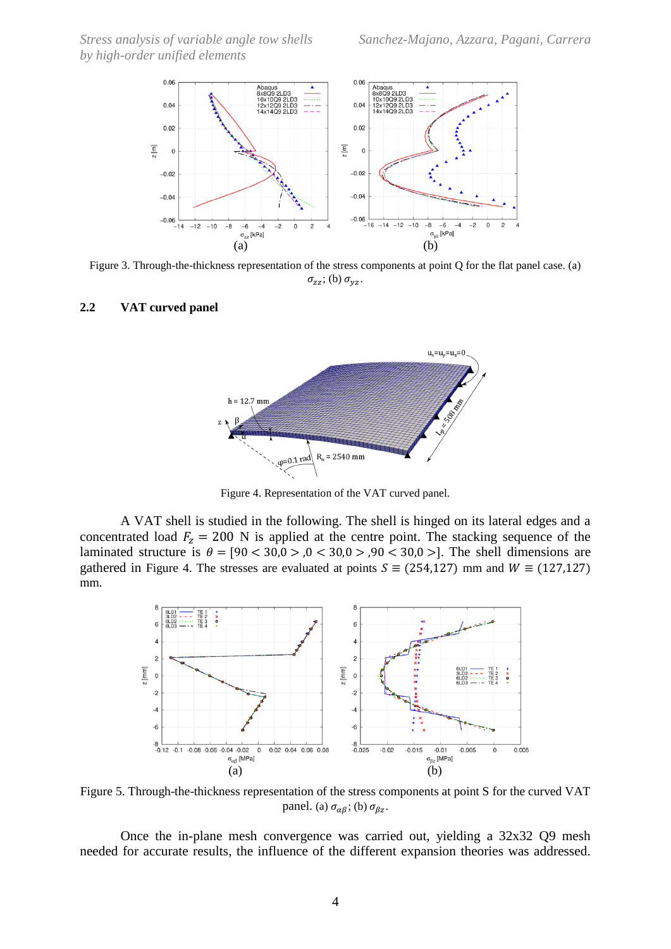*Stress analysis of variable angle tow shells Sanchez-Majano, Azzara, Pagani, Carrera by high-order unified elements*



<span id="page-4-0"></span>Figure 3. Through-the-thickness representation of the stress components at point Q for the flat panel case. (a)  $\sigma_{zz}$ ; (b)  $\sigma_{yz}$ .

#### **2.2 VAT curved panel**



Figure 4. Representation of the VAT curved panel.

<span id="page-4-1"></span>A VAT shell is studied in the following. The shell is hinged on its lateral edges and a concentrated load  $F_z = 200$  N is applied at the centre point. The stacking sequence of the laminated structure is  $\theta = [90 < 30.0 > 0.0 < 30.0 > 0.90 < 30.0 > ]$ . The shell dimensions are gathered in [Figure 4.](#page-4-1) The stresses are evaluated at points  $S = (254,127)$  mm and  $W = (127,127)$ mm.



<span id="page-4-2"></span>Figure 5. Through-the-thickness representation of the stress components at point S for the curved VAT panel. (a)  $\sigma_{\alpha\beta}$ ; (b)  $\sigma_{\beta z}$ .

Once the in-plane mesh convergence was carried out, yielding a 32x32 Q9 mesh needed for accurate results, the influence of the different expansion theories was addressed.